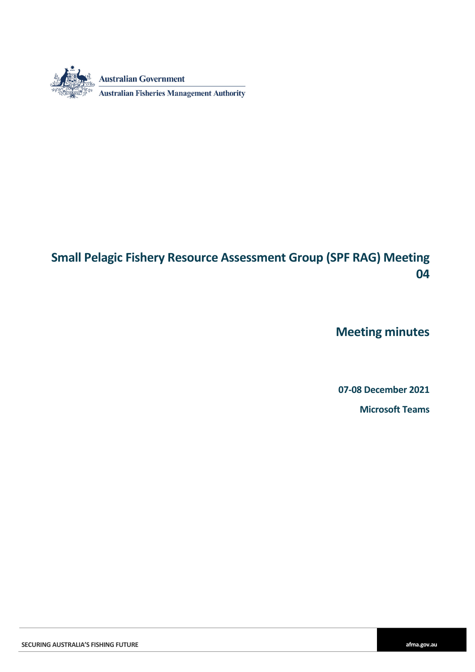

# **Small Pelagic Fishery Resource Assessment Group (SPF RAG) Meeting 04**

**Meeting minutes**

**07-08 December 2021**

**Microsoft Teams**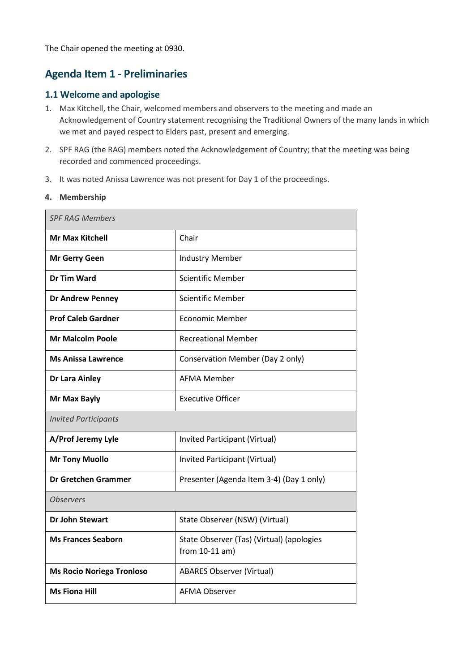The Chair opened the meeting at 0930.

#### **Agenda Item 1 - Preliminaries**

#### **1.1 Welcome and apologise**

- 1. Max Kitchell, the Chair, welcomed members and observers to the meeting and made an Acknowledgement of Country statement recognising the Traditional Owners of the many lands in which we met and payed respect to Elders past, present and emerging.
- 2. SPF RAG (the RAG) members noted the Acknowledgement of Country; that the meeting was being recorded and commenced proceedings.
- 3. It was noted Anissa Lawrence was not present for Day 1 of the proceedings.

#### **4. Membership**

| <b>SPF RAG Members</b>           |                                                               |  |  |  |  |  |
|----------------------------------|---------------------------------------------------------------|--|--|--|--|--|
| <b>Mr Max Kitchell</b>           | Chair                                                         |  |  |  |  |  |
| <b>Mr Gerry Geen</b>             | <b>Industry Member</b>                                        |  |  |  |  |  |
| Dr Tim Ward                      | <b>Scientific Member</b>                                      |  |  |  |  |  |
| <b>Dr Andrew Penney</b>          | <b>Scientific Member</b>                                      |  |  |  |  |  |
| <b>Prof Caleb Gardner</b>        | <b>Economic Member</b>                                        |  |  |  |  |  |
| <b>Mr Malcolm Poole</b>          | <b>Recreational Member</b>                                    |  |  |  |  |  |
| <b>Ms Anissa Lawrence</b>        | Conservation Member (Day 2 only)                              |  |  |  |  |  |
| <b>Dr Lara Ainley</b>            | <b>AFMA Member</b>                                            |  |  |  |  |  |
| Mr Max Bayly                     | <b>Executive Officer</b>                                      |  |  |  |  |  |
| <b>Invited Participants</b>      |                                                               |  |  |  |  |  |
| A/Prof Jeremy Lyle               | Invited Participant (Virtual)                                 |  |  |  |  |  |
| <b>Mr Tony Muollo</b>            | Invited Participant (Virtual)                                 |  |  |  |  |  |
| <b>Dr Gretchen Grammer</b>       | Presenter (Agenda Item 3-4) (Day 1 only)                      |  |  |  |  |  |
| <b>Observers</b>                 |                                                               |  |  |  |  |  |
| <b>Dr John Stewart</b>           | State Observer (NSW) (Virtual)                                |  |  |  |  |  |
| <b>Ms Frances Seaborn</b>        | State Observer (Tas) (Virtual) (apologies<br>from $10-11$ am) |  |  |  |  |  |
| <b>Ms Rocio Noriega Tronloso</b> | <b>ABARES Observer (Virtual)</b>                              |  |  |  |  |  |
| <b>Ms Fiona Hill</b>             | <b>AFMA Observer</b>                                          |  |  |  |  |  |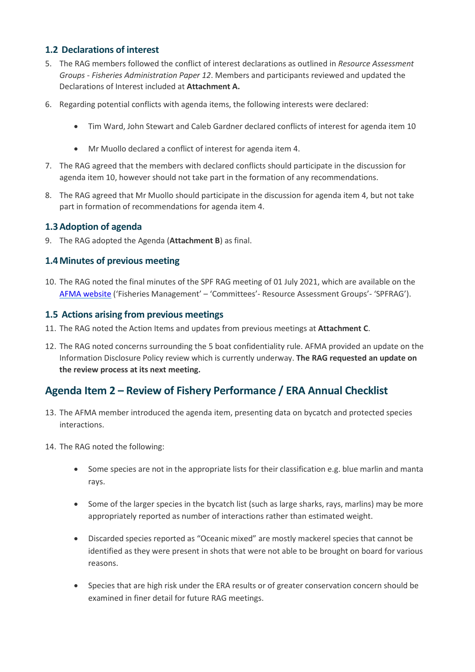#### **1.2 Declarations of interest**

- 5. The RAG members followed the conflict of interest declarations as outlined in *Resource Assessment Groups - Fisheries Administration Paper 12*. Members and participants reviewed and updated the Declarations of Interest included at **Attachment A.**
- 6. Regarding potential conflicts with agenda items, the following interests were declared:
	- Tim Ward, John Stewart and Caleb Gardner declared conflicts of interest for agenda item 10
	- Mr Muollo declared a conflict of interest for agenda item 4.
- 7. The RAG agreed that the members with declared conflicts should participate in the discussion for agenda item 10, however should not take part in the formation of any recommendations.
- 8. The RAG agreed that Mr Muollo should participate in the discussion for agenda item 4, but not take part in formation of recommendations for agenda item 4.

#### **1.3Adoption of agenda**

9. The RAG adopted the Agenda (**Attachment B**) as final.

#### **1.4Minutes of previous meeting**

10. The RAG noted the final minutes of the SPF RAG meeting of 01 July 2021, which are available on the [AFMA website](https://www.afma.gov.au/small-pelagic-fishery-resource-assessment-group-past-meetings) ('Fisheries Management' – 'Committees'- Resource Assessment Groups'- 'SPFRAG').

#### **1.5 Actions arising from previous meetings**

- 11. The RAG noted the Action Items and updates from previous meetings at **Attachment C**.
- 12. The RAG noted concerns surrounding the 5 boat confidentiality rule. AFMA provided an update on the Information Disclosure Policy review which is currently underway. **The RAG requested an update on the review process at its next meeting.**

#### **Agenda Item 2 – Review of Fishery Performance / ERA Annual Checklist**

- 13. The AFMA member introduced the agenda item, presenting data on bycatch and protected species interactions.
- 14. The RAG noted the following:
	- Some species are not in the appropriate lists for their classification e.g. blue marlin and manta rays.
	- Some of the larger species in the bycatch list (such as large sharks, rays, marlins) may be more appropriately reported as number of interactions rather than estimated weight.
	- Discarded species reported as "Oceanic mixed" are mostly mackerel species that cannot be identified as they were present in shots that were not able to be brought on board for various reasons.
	- Species that are high risk under the ERA results or of greater conservation concern should be examined in finer detail for future RAG meetings.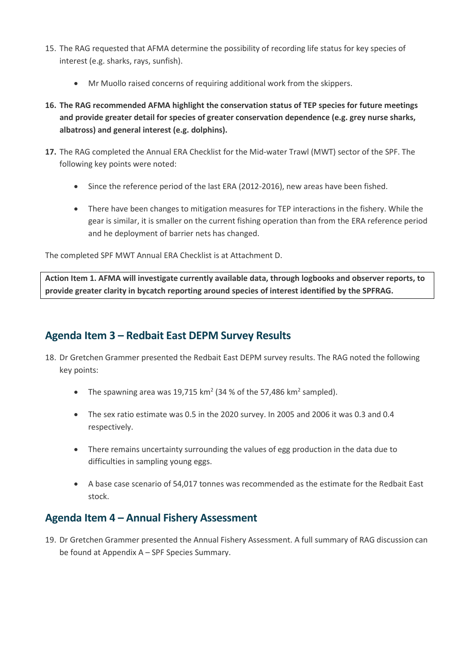- 15. The RAG requested that AFMA determine the possibility of recording life status for key species of interest (e.g. sharks, rays, sunfish).
	- Mr Muollo raised concerns of requiring additional work from the skippers.
- **16. The RAG recommended AFMA highlight the conservation status of TEP species for future meetings and provide greater detail for species of greater conservation dependence (e.g. grey nurse sharks, albatross) and general interest (e.g. dolphins).**
- **17.** The RAG completed the Annual ERA Checklist for the Mid-water Trawl (MWT) sector of the SPF. The following key points were noted:
	- Since the reference period of the last ERA (2012-2016), new areas have been fished.
	- There have been changes to mitigation measures for TEP interactions in the fishery. While the gear is similar, it is smaller on the current fishing operation than from the ERA reference period and he deployment of barrier nets has changed.

The completed SPF MWT Annual ERA Checklist is at Attachment D.

**Action Item 1. AFMA will investigate currently available data, through logbooks and observer reports, to provide greater clarity in bycatch reporting around species of interest identified by the SPFRAG.** 

### **Agenda Item 3 – Redbait East DEPM Survey Results**

- 18. Dr Gretchen Grammer presented the Redbait East DEPM survey results. The RAG noted the following key points:
	- The spawning area was 19,715 km<sup>2</sup> (34 % of the 57,486 km<sup>2</sup> sampled).
	- The sex ratio estimate was 0.5 in the 2020 survey. In 2005 and 2006 it was 0.3 and 0.4 respectively.
	- There remains uncertainty surrounding the values of egg production in the data due to difficulties in sampling young eggs.
	- A base case scenario of 54,017 tonnes was recommended as the estimate for the Redbait East stock.

## **Agenda Item 4 – Annual Fishery Assessment**

19. Dr Gretchen Grammer presented the Annual Fishery Assessment. A full summary of RAG discussion can be found at Appendix A – SPF Species Summary.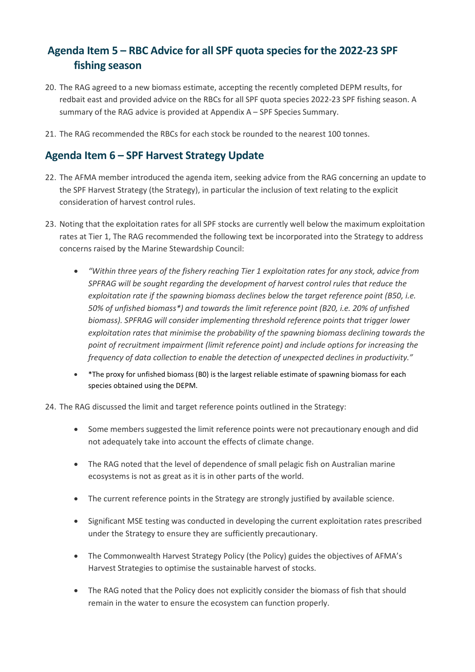## **Agenda Item 5 – RBC Advice for all SPF quota species for the 2022-23 SPF fishing season**

- 20. The RAG agreed to a new biomass estimate, accepting the recently completed DEPM results, for redbait east and provided advice on the RBCs for all SPF quota species 2022-23 SPF fishing season. A summary of the RAG advice is provided at Appendix A – SPF Species Summary.
- 21. The RAG recommended the RBCs for each stock be rounded to the nearest 100 tonnes.

#### **Agenda Item 6 – SPF Harvest Strategy Update**

- 22. The AFMA member introduced the agenda item, seeking advice from the RAG concerning an update to the SPF Harvest Strategy (the Strategy), in particular the inclusion of text relating to the explicit consideration of harvest control rules.
- 23. Noting that the exploitation rates for all SPF stocks are currently well below the maximum exploitation rates at Tier 1, The RAG recommended the following text be incorporated into the Strategy to address concerns raised by the Marine Stewardship Council:
	- *"Within three years of the fishery reaching Tier 1 exploitation rates for any stock, advice from SPFRAG will be sought regarding the development of harvest control rules that reduce the exploitation rate if the spawning biomass declines below the target reference point (B50, i.e. 50% of unfished biomass\*) and towards the limit reference point (B20, i.e. 20% of unfished biomass). SPFRAG will consider implementing threshold reference points that trigger lower exploitation rates that minimise the probability of the spawning biomass declining towards the point of recruitment impairment (limit reference point) and include options for increasing the frequency of data collection to enable the detection of unexpected declines in productivity."*
	- \*The proxy for unfished biomass (B0) is the largest reliable estimate of spawning biomass for each species obtained using the DEPM.
- 24. The RAG discussed the limit and target reference points outlined in the Strategy:
	- Some members suggested the limit reference points were not precautionary enough and did not adequately take into account the effects of climate change.
	- The RAG noted that the level of dependence of small pelagic fish on Australian marine ecosystems is not as great as it is in other parts of the world.
	- The current reference points in the Strategy are strongly justified by available science.
	- Significant MSE testing was conducted in developing the current exploitation rates prescribed under the Strategy to ensure they are sufficiently precautionary.
	- The Commonwealth Harvest Strategy Policy (the Policy) guides the objectives of AFMA's Harvest Strategies to optimise the sustainable harvest of stocks.
	- The RAG noted that the Policy does not explicitly consider the biomass of fish that should remain in the water to ensure the ecosystem can function properly.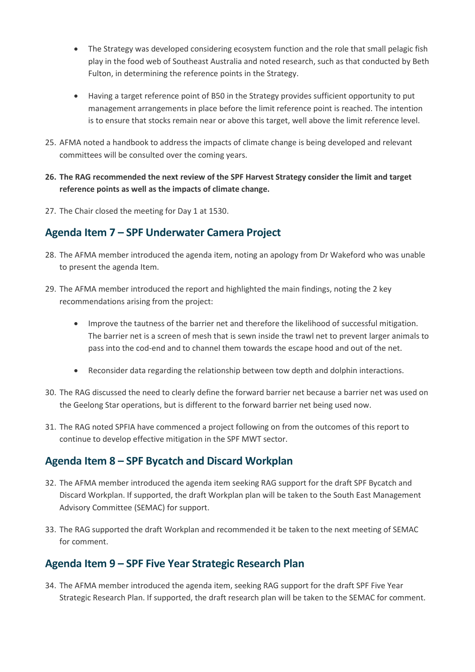- The Strategy was developed considering ecosystem function and the role that small pelagic fish play in the food web of Southeast Australia and noted research, such as that conducted by Beth Fulton, in determining the reference points in the Strategy.
- Having a target reference point of B50 in the Strategy provides sufficient opportunity to put management arrangements in place before the limit reference point is reached. The intention is to ensure that stocks remain near or above this target, well above the limit reference level.
- 25. AFMA noted a handbook to address the impacts of climate change is being developed and relevant committees will be consulted over the coming years.
- **26. The RAG recommended the next review of the SPF Harvest Strategy consider the limit and target reference points as well as the impacts of climate change.**
- 27. The Chair closed the meeting for Day 1 at 1530.

### **Agenda Item 7 – SPF Underwater Camera Project**

- 28. The AFMA member introduced the agenda item, noting an apology from Dr Wakeford who was unable to present the agenda Item.
- 29. The AFMA member introduced the report and highlighted the main findings, noting the 2 key recommendations arising from the project:
	- Improve the tautness of the barrier net and therefore the likelihood of successful mitigation. The barrier net is a screen of mesh that is sewn inside the trawl net to prevent larger animals to pass into the cod-end and to channel them towards the escape hood and out of the net.
	- Reconsider data regarding the relationship between tow depth and dolphin interactions.
- 30. The RAG discussed the need to clearly define the forward barrier net because a barrier net was used on the Geelong Star operations, but is different to the forward barrier net being used now.
- 31. The RAG noted SPFIA have commenced a project following on from the outcomes of this report to continue to develop effective mitigation in the SPF MWT sector.

#### **Agenda Item 8 – SPF Bycatch and Discard Workplan**

- 32. The AFMA member introduced the agenda item seeking RAG support for the draft SPF Bycatch and Discard Workplan. If supported, the draft Workplan plan will be taken to the South East Management Advisory Committee (SEMAC) for support.
- 33. The RAG supported the draft Workplan and recommended it be taken to the next meeting of SEMAC for comment.

## **Agenda Item 9 – SPF Five Year Strategic Research Plan**

34. The AFMA member introduced the agenda item, seeking RAG support for the draft SPF Five Year Strategic Research Plan. If supported, the draft research plan will be taken to the SEMAC for comment.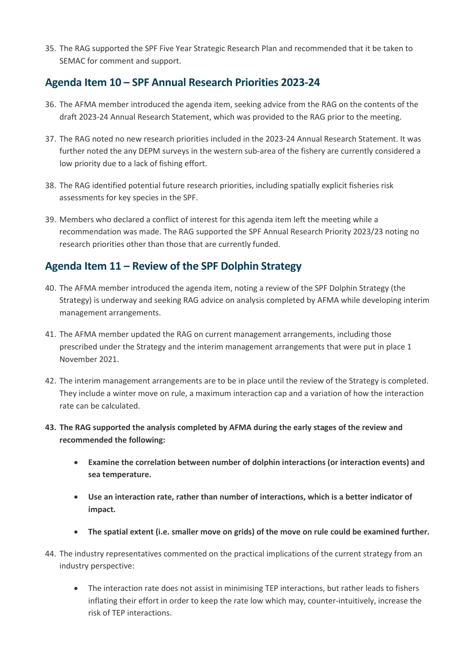35. The RAG supported the SPF Five Year Strategic Research Plan and recommended that it be taken to SEMAC for comment and support.

## **Agenda Item 10 – SPF Annual Research Priorities 2023-24**

- 36. The AFMA member introduced the agenda item, seeking advice from the RAG on the contents of the draft 2023-24 Annual Research Statement, which was provided to the RAG prior to the meeting.
- 37. The RAG noted no new research priorities included in the 2023-24 Annual Research Statement. It was further noted the any DEPM surveys in the western sub-area of the fishery are currently considered a low priority due to a lack of fishing effort.
- 38. The RAG identified potential future research priorities, including spatially explicit fisheries risk assessments for key species in the SPF.
- 39. Members who declared a conflict of interest for this agenda item left the meeting while a recommendation was made. The RAG supported the SPF Annual Research Priority 2023/23 noting no research priorities other than those that are currently funded.

### **Agenda Item 11 – Review of the SPF Dolphin Strategy**

- 40. The AFMA member introduced the agenda item, noting a review of the SPF Dolphin Strategy (the Strategy) is underway and seeking RAG advice on analysis completed by AFMA while developing interim management arrangements.
- 41. The AFMA member updated the RAG on current management arrangements, including those prescribed under the Strategy and the interim management arrangements that were put in place 1 November 2021.
- 42. The interim management arrangements are to be in place until the review of the Strategy is completed. They include a winter move on rule, a maximum interaction cap and a variation of how the interaction rate can be calculated.
- **43. The RAG supported the analysis completed by AFMA during the early stages of the review and recommended the following:**
	- **Examine the correlation between number of dolphin interactions (or interaction events) and sea temperature.**
	- **Use an interaction rate, rather than number of interactions, which is a better indicator of impact.**
	- **The spatial extent (i.e. smaller move on grids) of the move on rule could be examined further.**
- 44. The industry representatives commented on the practical implications of the current strategy from an industry perspective:
	- The interaction rate does not assist in minimising TEP interactions, but rather leads to fishers inflating their effort in order to keep the rate low which may, counter-intuitively, increase the risk of TEP interactions.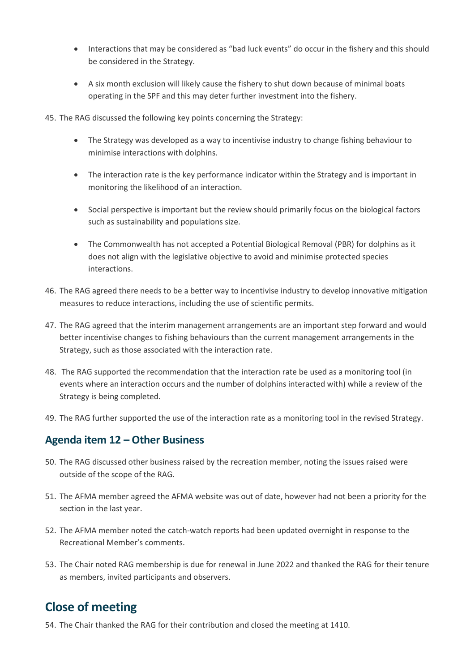- Interactions that may be considered as "bad luck events" do occur in the fishery and this should be considered in the Strategy.
- A six month exclusion will likely cause the fishery to shut down because of minimal boats operating in the SPF and this may deter further investment into the fishery.

45. The RAG discussed the following key points concerning the Strategy:

- The Strategy was developed as a way to incentivise industry to change fishing behaviour to minimise interactions with dolphins.
- The interaction rate is the key performance indicator within the Strategy and is important in monitoring the likelihood of an interaction.
- Social perspective is important but the review should primarily focus on the biological factors such as sustainability and populations size.
- The Commonwealth has not accepted a Potential Biological Removal (PBR) for dolphins as it does not align with the legislative objective to avoid and minimise protected species interactions.
- 46. The RAG agreed there needs to be a better way to incentivise industry to develop innovative mitigation measures to reduce interactions, including the use of scientific permits.
- 47. The RAG agreed that the interim management arrangements are an important step forward and would better incentivise changes to fishing behaviours than the current management arrangements in the Strategy, such as those associated with the interaction rate.
- 48. The RAG supported the recommendation that the interaction rate be used as a monitoring tool (in events where an interaction occurs and the number of dolphins interacted with) while a review of the Strategy is being completed.
- 49. The RAG further supported the use of the interaction rate as a monitoring tool in the revised Strategy.

#### **Agenda item 12 – Other Business**

- 50. The RAG discussed other business raised by the recreation member, noting the issues raised were outside of the scope of the RAG.
- 51. The AFMA member agreed the AFMA website was out of date, however had not been a priority for the section in the last year.
- 52. The AFMA member noted the catch-watch reports had been updated overnight in response to the Recreational Member's comments.
- 53. The Chair noted RAG membership is due for renewal in June 2022 and thanked the RAG for their tenure as members, invited participants and observers.

## **Close of meeting**

54. The Chair thanked the RAG for their contribution and closed the meeting at 1410.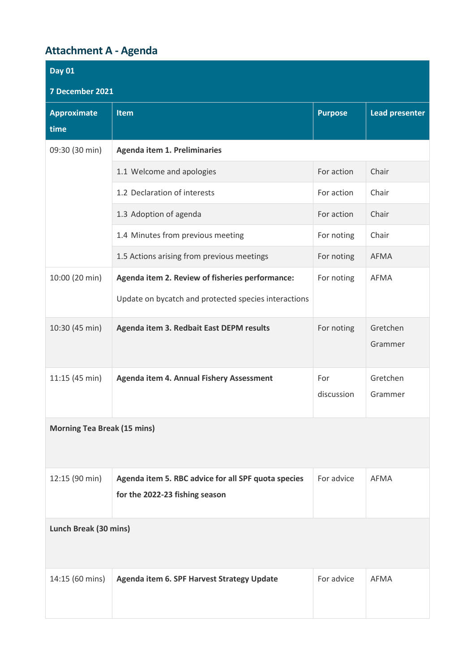# **Attachment A - Agenda**

| <b>Day 01</b>                      |                                                                                       |                   |                     |  |  |  |  |  |  |  |
|------------------------------------|---------------------------------------------------------------------------------------|-------------------|---------------------|--|--|--|--|--|--|--|
| 7 December 2021                    |                                                                                       |                   |                     |  |  |  |  |  |  |  |
| <b>Approximate</b>                 | <b>Lead presenter</b><br><b>Item</b><br><b>Purpose</b>                                |                   |                     |  |  |  |  |  |  |  |
| time                               |                                                                                       |                   |                     |  |  |  |  |  |  |  |
| 09:30 (30 min)                     | <b>Agenda item 1. Preliminaries</b>                                                   |                   |                     |  |  |  |  |  |  |  |
|                                    | 1.1 Welcome and apologies                                                             | For action        | Chair               |  |  |  |  |  |  |  |
|                                    | 1.2 Declaration of interests                                                          | For action        | Chair               |  |  |  |  |  |  |  |
|                                    | 1.3 Adoption of agenda                                                                | For action        | Chair               |  |  |  |  |  |  |  |
|                                    | 1.4 Minutes from previous meeting                                                     | For noting        | Chair               |  |  |  |  |  |  |  |
|                                    | 1.5 Actions arising from previous meetings                                            | For noting        | <b>AFMA</b>         |  |  |  |  |  |  |  |
| 10:00 (20 min)                     | Agenda item 2. Review of fisheries performance:                                       | For noting        | AFMA                |  |  |  |  |  |  |  |
|                                    | Update on bycatch and protected species interactions                                  |                   |                     |  |  |  |  |  |  |  |
| 10:30 (45 min)                     | Agenda item 3. Redbait East DEPM results                                              | For noting        | Gretchen<br>Grammer |  |  |  |  |  |  |  |
| 11:15 (45 min)                     | Agenda item 4. Annual Fishery Assessment                                              | For<br>discussion | Gretchen<br>Grammer |  |  |  |  |  |  |  |
| <b>Morning Tea Break (15 mins)</b> |                                                                                       |                   |                     |  |  |  |  |  |  |  |
| 12:15 (90 min)                     | Agenda item 5. RBC advice for all SPF quota species<br>for the 2022-23 fishing season | For advice        | AFMA                |  |  |  |  |  |  |  |
| Lunch Break (30 mins)              |                                                                                       |                   |                     |  |  |  |  |  |  |  |
| 14:15 (60 mins)                    | Agenda item 6. SPF Harvest Strategy Update                                            | For advice        | AFMA                |  |  |  |  |  |  |  |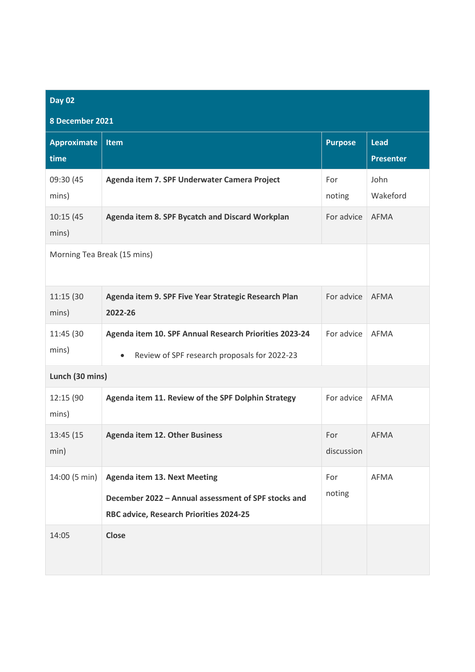| <b>Day 02</b>               |                                                                                                                                       |                   |                                 |  |  |  |  |  |  |
|-----------------------------|---------------------------------------------------------------------------------------------------------------------------------------|-------------------|---------------------------------|--|--|--|--|--|--|
| 8 December 2021             |                                                                                                                                       |                   |                                 |  |  |  |  |  |  |
| <b>Approximate</b><br>time  | <b>Item</b>                                                                                                                           | <b>Purpose</b>    | <b>Lead</b><br><b>Presenter</b> |  |  |  |  |  |  |
| 09:30 (45<br>mins)          | Agenda item 7. SPF Underwater Camera Project                                                                                          | For<br>noting     | John<br>Wakeford                |  |  |  |  |  |  |
| 10:15 (45<br>mins)          | Agenda item 8. SPF Bycatch and Discard Workplan                                                                                       | For advice        | <b>AFMA</b>                     |  |  |  |  |  |  |
| Morning Tea Break (15 mins) |                                                                                                                                       |                   |                                 |  |  |  |  |  |  |
| 11:15 (30<br>mins)          | Agenda item 9. SPF Five Year Strategic Research Plan<br>2022-26                                                                       | For advice        | <b>AFMA</b>                     |  |  |  |  |  |  |
| 11:45 (30<br>mins)          | Agenda item 10. SPF Annual Research Priorities 2023-24<br>Review of SPF research proposals for 2022-23<br>$\bullet$                   | For advice        | <b>AFMA</b>                     |  |  |  |  |  |  |
| Lunch (30 mins)             |                                                                                                                                       |                   |                                 |  |  |  |  |  |  |
| 12:15 (90<br>mins)          | Agenda item 11. Review of the SPF Dolphin Strategy                                                                                    | For advice        | <b>AFMA</b>                     |  |  |  |  |  |  |
| 13:45 (15<br>min)           | <b>Agenda item 12. Other Business</b>                                                                                                 | For<br>discussion | AFMA                            |  |  |  |  |  |  |
| 14:00 (5 min)               | <b>Agenda item 13. Next Meeting</b><br>December 2022 - Annual assessment of SPF stocks and<br>RBC advice, Research Priorities 2024-25 | For<br>noting     | AFMA                            |  |  |  |  |  |  |
| 14:05                       | <b>Close</b>                                                                                                                          |                   |                                 |  |  |  |  |  |  |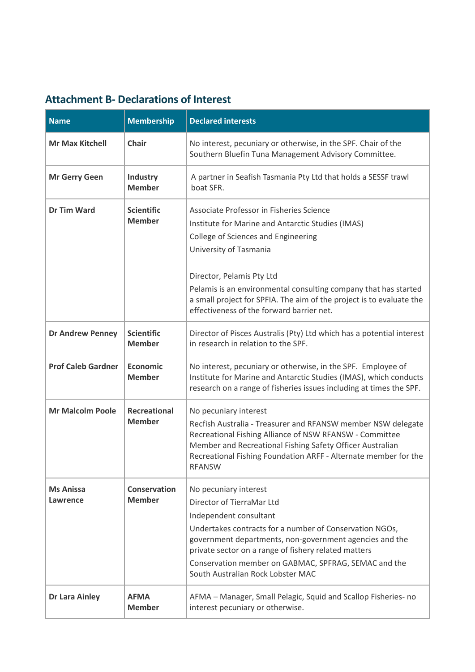## **Attachment B- Declarations of Interest**

| <b>Name</b>                  | <b>Membership</b>                    | <b>Declared interests</b>                                                                                                                                                                                                                                                                                                                               |
|------------------------------|--------------------------------------|---------------------------------------------------------------------------------------------------------------------------------------------------------------------------------------------------------------------------------------------------------------------------------------------------------------------------------------------------------|
| <b>Mr Max Kitchell</b>       | <b>Chair</b>                         | No interest, pecuniary or otherwise, in the SPF. Chair of the<br>Southern Bluefin Tuna Management Advisory Committee.                                                                                                                                                                                                                                   |
| <b>Mr Gerry Geen</b>         | Industry<br><b>Member</b>            | A partner in Seafish Tasmania Pty Ltd that holds a SESSF trawl<br>boat SFR.                                                                                                                                                                                                                                                                             |
| <b>Dr Tim Ward</b>           | <b>Scientific</b><br><b>Member</b>   | Associate Professor in Fisheries Science<br>Institute for Marine and Antarctic Studies (IMAS)<br>College of Sciences and Engineering<br>University of Tasmania<br>Director, Pelamis Pty Ltd                                                                                                                                                             |
|                              |                                      | Pelamis is an environmental consulting company that has started<br>a small project for SPFIA. The aim of the project is to evaluate the<br>effectiveness of the forward barrier net.                                                                                                                                                                    |
| <b>Dr Andrew Penney</b>      | <b>Scientific</b><br><b>Member</b>   | Director of Pisces Australis (Pty) Ltd which has a potential interest<br>in research in relation to the SPF.                                                                                                                                                                                                                                            |
| <b>Prof Caleb Gardner</b>    | <b>Economic</b><br><b>Member</b>     | No interest, pecuniary or otherwise, in the SPF. Employee of<br>Institute for Marine and Antarctic Studies (IMAS), which conducts<br>research on a range of fisheries issues including at times the SPF.                                                                                                                                                |
| <b>Mr Malcolm Poole</b>      | <b>Recreational</b><br><b>Member</b> | No pecuniary interest<br>Recfish Australia - Treasurer and RFANSW member NSW delegate<br>Recreational Fishing Alliance of NSW RFANSW - Committee<br>Member and Recreational Fishing Safety Officer Australian<br>Recreational Fishing Foundation ARFF - Alternate member for the<br><b>RFANSW</b>                                                       |
| <b>Ms Anissa</b><br>Lawrence | <b>Conservation</b><br><b>Member</b> | No pecuniary interest<br>Director of TierraMar Ltd<br>Independent consultant<br>Undertakes contracts for a number of Conservation NGOs,<br>government departments, non-government agencies and the<br>private sector on a range of fishery related matters<br>Conservation member on GABMAC, SPFRAG, SEMAC and the<br>South Australian Rock Lobster MAC |
| <b>Dr Lara Ainley</b>        | <b>AFMA</b><br><b>Member</b>         | AFMA - Manager, Small Pelagic, Squid and Scallop Fisheries- no<br>interest pecuniary or otherwise.                                                                                                                                                                                                                                                      |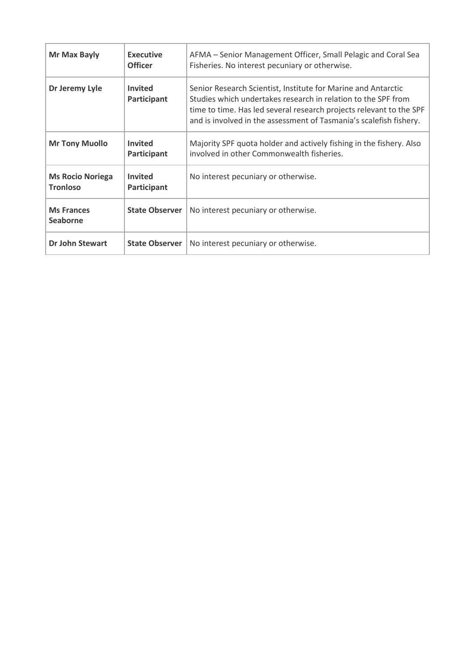| Mr Max Bayly                               | <b>Executive</b><br><b>Officer</b>   | AFMA – Senior Management Officer, Small Pelagic and Coral Sea<br>Fisheries. No interest pecuniary or otherwise.                                                                                                                                                             |  |  |  |
|--------------------------------------------|--------------------------------------|-----------------------------------------------------------------------------------------------------------------------------------------------------------------------------------------------------------------------------------------------------------------------------|--|--|--|
| Dr Jeremy Lyle                             | <b>Invited</b><br>Participant        | Senior Research Scientist, Institute for Marine and Antarctic<br>Studies which undertakes research in relation to the SPF from<br>time to time. Has led several research projects relevant to the SPF<br>and is involved in the assessment of Tasmania's scalefish fishery. |  |  |  |
| <b>Mr Tony Muollo</b>                      | <b>Invited</b><br><b>Participant</b> | Majority SPF quota holder and actively fishing in the fishery. Also<br>involved in other Commonwealth fisheries.                                                                                                                                                            |  |  |  |
| <b>Ms Rocio Noriega</b><br><b>Tronloso</b> | <b>Invited</b><br>Participant        | No interest pecuniary or otherwise.                                                                                                                                                                                                                                         |  |  |  |
| <b>Ms Frances</b><br><b>Seaborne</b>       | <b>State Observer</b>                | No interest pecuniary or otherwise.                                                                                                                                                                                                                                         |  |  |  |
| Dr John Stewart                            | <b>State Observer</b>                | No interest pecuniary or otherwise.                                                                                                                                                                                                                                         |  |  |  |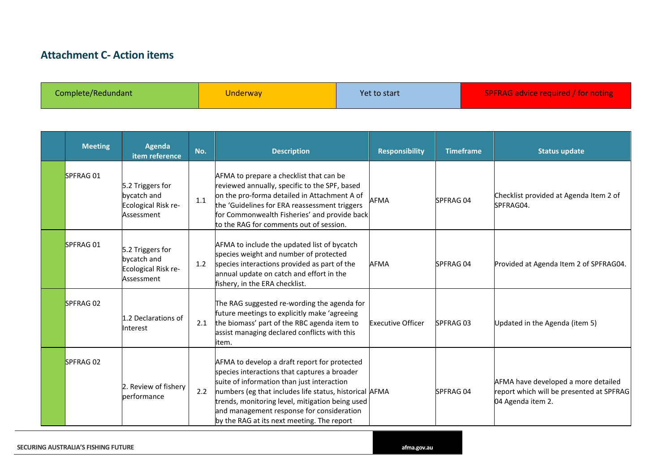## **Attachment C- Action items**

Complete/Redundant Note of the Underway Vet to start SPFRAG advice required / for noting

| <b>Meeting</b>  | <b>Agenda</b><br>item reference                                      | No. | <b>Description</b>                                                                                                                                                                                                                                                                                                                                 | <b>Responsibility</b>    | <b>Timeframe</b> | <b>Status update</b>                                                                                 |
|-----------------|----------------------------------------------------------------------|-----|----------------------------------------------------------------------------------------------------------------------------------------------------------------------------------------------------------------------------------------------------------------------------------------------------------------------------------------------------|--------------------------|------------------|------------------------------------------------------------------------------------------------------|
| <b>SPFRAG01</b> | 5.2 Triggers for<br>bycatch and<br>Ecological Risk re-<br>Assessment | 1.1 | AFMA to prepare a checklist that can be<br>reviewed annually, specific to the SPF, based<br>on the pro-forma detailed in Attachment A of<br>the 'Guidelines for ERA reassessment triggers<br>for Commonwealth Fisheries' and provide back<br>to the RAG for comments out of session.                                                               | <b>AFMA</b>              | SPFRAG 04        | Checklist provided at Agenda Item 2 of<br>SPFRAG04.                                                  |
| SPFRAG 01       | 5.2 Triggers for<br>bycatch and<br>Ecological Risk re-<br>Assessment | 1.2 | AFMA to include the updated list of bycatch<br>species weight and number of protected<br>species interactions provided as part of the<br>annual update on catch and effort in the<br>fishery, in the ERA checklist.                                                                                                                                | <b>AFMA</b>              | SPFRAG 04        | Provided at Agenda Item 2 of SPFRAG04.                                                               |
| <b>SPFRAG02</b> | 1.2 Declarations of<br>Interest                                      | 2.1 | The RAG suggested re-wording the agenda for<br>future meetings to explicitly make 'agreeing<br>the biomass' part of the RBC agenda item to<br>assist managing declared conflicts with this<br>item.                                                                                                                                                | <b>Executive Officer</b> | SPFRAG 03        | Updated in the Agenda (item 5)                                                                       |
| SPFRAG 02       | 2. Review of fishery<br>performance                                  | 2.2 | AFMA to develop a draft report for protected<br>species interactions that captures a broader<br>suite of information than just interaction<br>numbers (eg that includes life status, historical AFMA<br>trends, monitoring level, mitigation being used<br>and management response for consideration<br>by the RAG at its next meeting. The report |                          | SPFRAG 04        | AFMA have developed a more detailed<br>report which will be presented at SPFRAG<br>04 Agenda item 2. |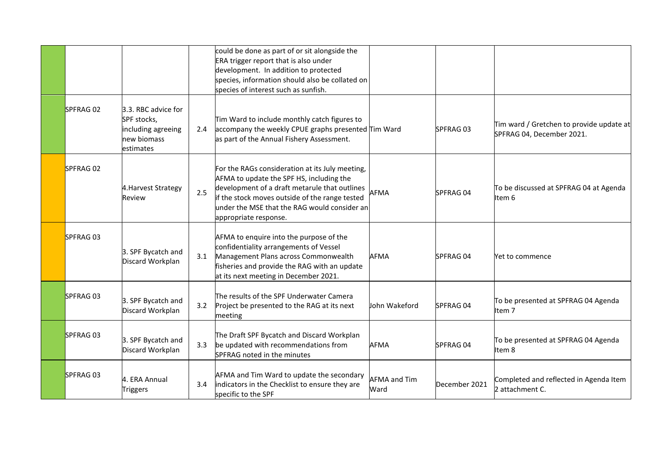|           |                                                                                      |     | could be done as part of or sit alongside the<br>ERA trigger report that is also under<br>development. In addition to protected<br>species, information should also be collated on<br>species of interest such as sunfish.                                              |                             |               |                                                                       |
|-----------|--------------------------------------------------------------------------------------|-----|-------------------------------------------------------------------------------------------------------------------------------------------------------------------------------------------------------------------------------------------------------------------------|-----------------------------|---------------|-----------------------------------------------------------------------|
| SPFRAG 02 | 3.3. RBC advice for<br>SPF stocks,<br>including agreeing<br>new biomass<br>estimates | 2.4 | Tim Ward to include monthly catch figures to<br>accompany the weekly CPUE graphs presented Tim Ward<br>as part of the Annual Fishery Assessment.                                                                                                                        |                             | SPFRAG 03     | Tim ward / Gretchen to provide update at<br>SPFRAG 04, December 2021. |
| SPFRAG 02 | 4. Harvest Strategy<br>Review                                                        | 2.5 | For the RAGs consideration at its July meeting,<br>AFMA to update the SPF HS, including the<br>development of a draft metarule that outlines<br>if the stock moves outside of the range tested<br>under the MSE that the RAG would consider an<br>appropriate response. | <b>AFMA</b>                 | SPFRAG 04     | To be discussed at SPFRAG 04 at Agenda<br>Item 6                      |
| SPFRAG 03 | 3. SPF Bycatch and<br>Discard Workplan                                               | 3.1 | AFMA to enquire into the purpose of the<br>confidentiality arrangements of Vessel<br>Management Plans across Commonwealth<br>fisheries and provide the RAG with an update<br>at its next meeting in December 2021.                                                      | <b>AFMA</b>                 | SPFRAG 04     | Yet to commence                                                       |
| SPFRAG 03 | 3. SPF Bycatch and<br>Discard Workplan                                               | 3.2 | The results of the SPF Underwater Camera<br>Project be presented to the RAG at its next<br>meeting                                                                                                                                                                      | John Wakeford               | SPFRAG 04     | To be presented at SPFRAG 04 Agenda<br>Item <sub>7</sub>              |
| SPFRAG 03 | 3. SPF Bycatch and<br>Discard Workplan                                               | 3.3 | The Draft SPF Bycatch and Discard Workplan<br>be updated with recommendations from<br>SPFRAG noted in the minutes                                                                                                                                                       | <b>AFMA</b>                 | SPFRAG 04     | To be presented at SPFRAG 04 Agenda<br>Item 8                         |
| SPFRAG 03 | 4. ERA Annual<br><b>Triggers</b>                                                     | 3.4 | AFMA and Tim Ward to update the secondary<br>indicators in the Checklist to ensure they are<br>specific to the SPF                                                                                                                                                      | <b>AFMA and Tim</b><br>Ward | December 2021 | Completed and reflected in Agenda Item<br>2 attachment C.             |